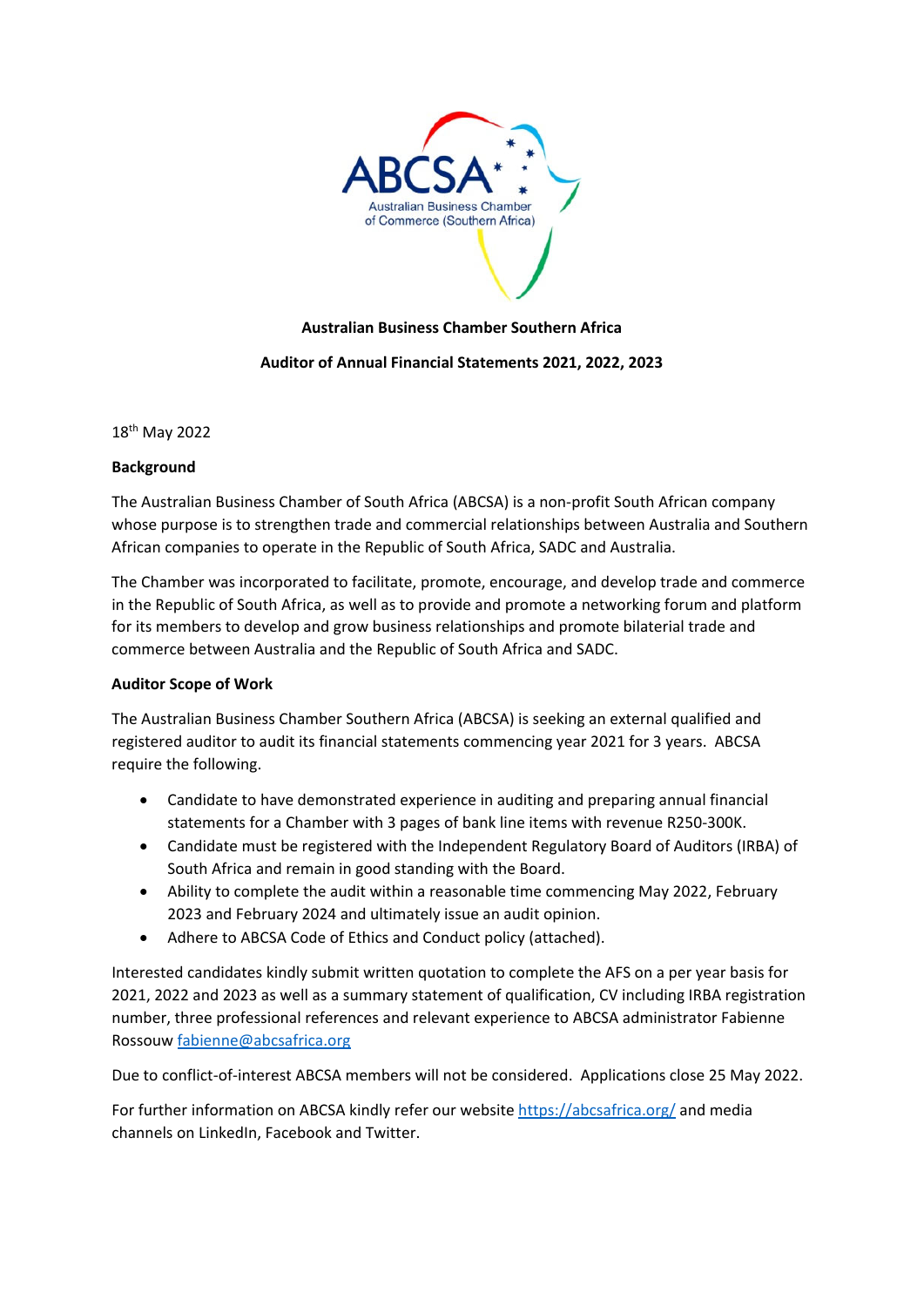

**Australian Business Chamber Southern Africa**

**Auditor of Annual Financial Statements 2021, 2022, 2023**

18th May 2022

#### **Background**

The Australian Business Chamber of South Africa (ABCSA) is a non‐profit South African company whose purpose is to strengthen trade and commercial relationships between Australia and Southern African companies to operate in the Republic of South Africa, SADC and Australia.

The Chamber was incorporated to facilitate, promote, encourage, and develop trade and commerce in the Republic of South Africa, as well as to provide and promote a networking forum and platform for its members to develop and grow business relationships and promote bilaterial trade and commerce between Australia and the Republic of South Africa and SADC.

#### **Auditor Scope of Work**

The Australian Business Chamber Southern Africa (ABCSA) is seeking an external qualified and registered auditor to audit its financial statements commencing year 2021 for 3 years. ABCSA require the following.

- Candidate to have demonstrated experience in auditing and preparing annual financial statements for a Chamber with 3 pages of bank line items with revenue R250‐300K.
- Candidate must be registered with the Independent Regulatory Board of Auditors (IRBA) of South Africa and remain in good standing with the Board.
- Ability to complete the audit within a reasonable time commencing May 2022, February 2023 and February 2024 and ultimately issue an audit opinion.
- Adhere to ABCSA Code of Ethics and Conduct policy (attached).

Interested candidates kindly submit written quotation to complete the AFS on a per year basis for 2021, 2022 and 2023 as well as a summary statement of qualification, CV including IRBA registration number, three professional references and relevant experience to ABCSA administrator Fabienne Rossouw fabienne@abcsafrica.org

Due to conflict-of-interest ABCSA members will not be considered. Applications close 25 May 2022.

For further information on ABCSA kindly refer our website https://abcsafrica.org/ and media channels on LinkedIn, Facebook and Twitter.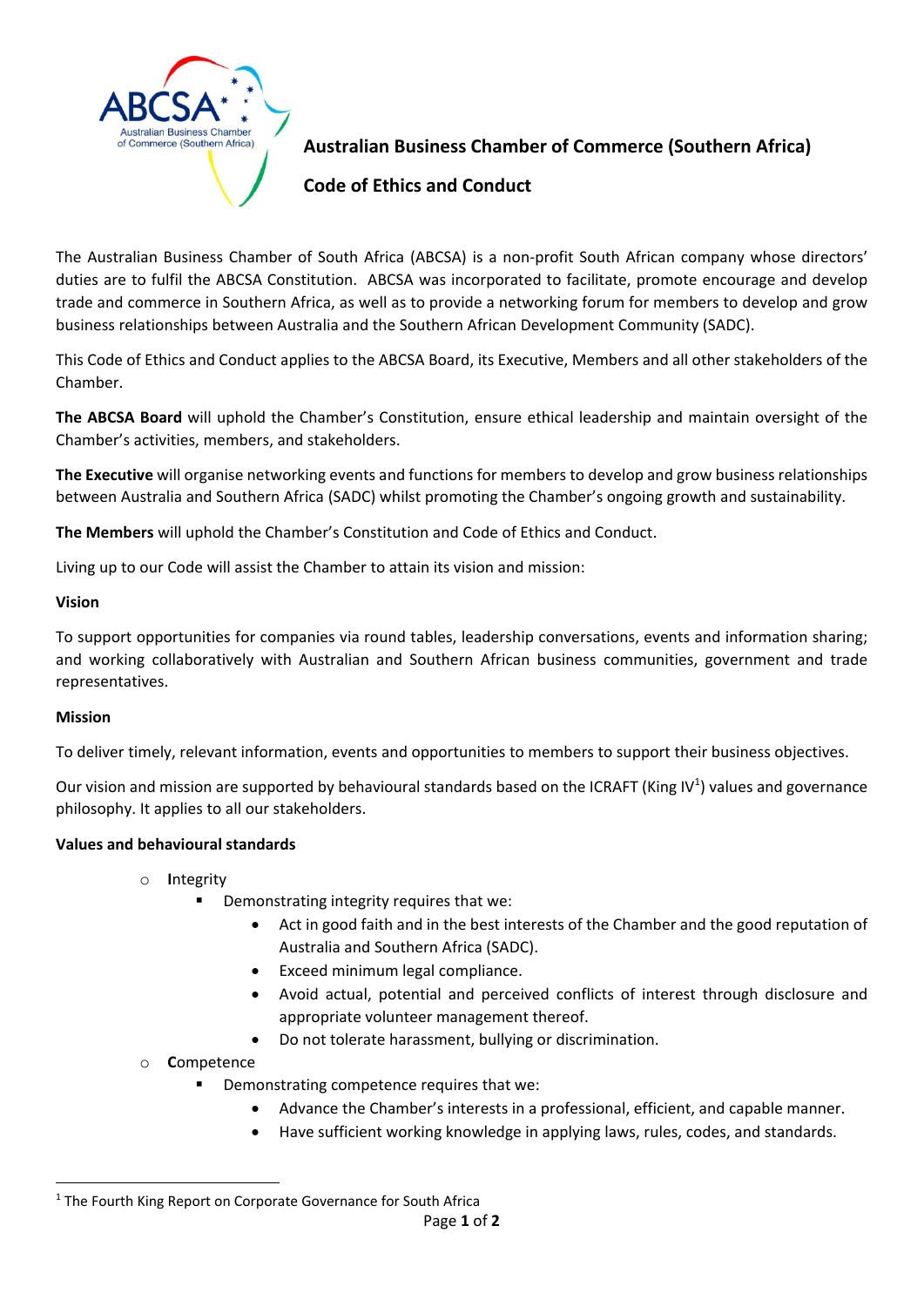

## **Australian Business Chamber of Commerce (Southern Africa)**

# **Code of Ethics and Conduct**

The Australian Business Chamber of South Africa (ABCSA) is a non‐profit South African company whose directors' duties are to fulfil the ABCSA Constitution. ABCSA was incorporated to facilitate, promote encourage and develop trade and commerce in Southern Africa, as well as to provide a networking forum for members to develop and grow business relationships between Australia and the Southern African Development Community (SADC).

This Code of Ethics and Conduct applies to the ABCSA Board, its Executive, Members and all other stakeholders of the Chamber.

**The ABCSA Board** will uphold the Chamber's Constitution, ensure ethical leadership and maintain oversight of the Chamber's activities, members, and stakeholders.

**The Executive** will organise networking events and functions for members to develop and grow business relationships between Australia and Southern Africa (SADC) whilst promoting the Chamber's ongoing growth and sustainability.

**The Members** will uphold the Chamber's Constitution and Code of Ethics and Conduct.

Living up to our Code will assist the Chamber to attain its vision and mission:

#### **Vision**

To support opportunities for companies via round tables, leadership conversations, events and information sharing; and working collaboratively with Australian and Southern African business communities, government and trade representatives.

## **Mission**

To deliver timely, relevant information, events and opportunities to members to support their business objectives.

Our vision and mission are supported by behavioural standards based on the ICRAFT (King IV<sup>1</sup>) values and governance philosophy. It applies to all our stakeholders.

## **Values and behavioural standards**

- o **I**ntegrity
	- Demonstrating integrity requires that we:
		- Act in good faith and in the best interests of the Chamber and the good reputation of Australia and Southern Africa (SADC).
		- Exceed minimum legal compliance.
		- Avoid actual, potential and perceived conflicts of interest through disclosure and appropriate volunteer management thereof.
		- Do not tolerate harassment, bullying or discrimination.
- o **C**ompetence
	- Demonstrating competence requires that we:
		- Advance the Chamber's interests in a professional, efficient, and capable manner.
		- Have sufficient working knowledge in applying laws, rules, codes, and standards.

<sup>&</sup>lt;sup>1</sup> The Fourth King Report on Corporate Governance for South Africa